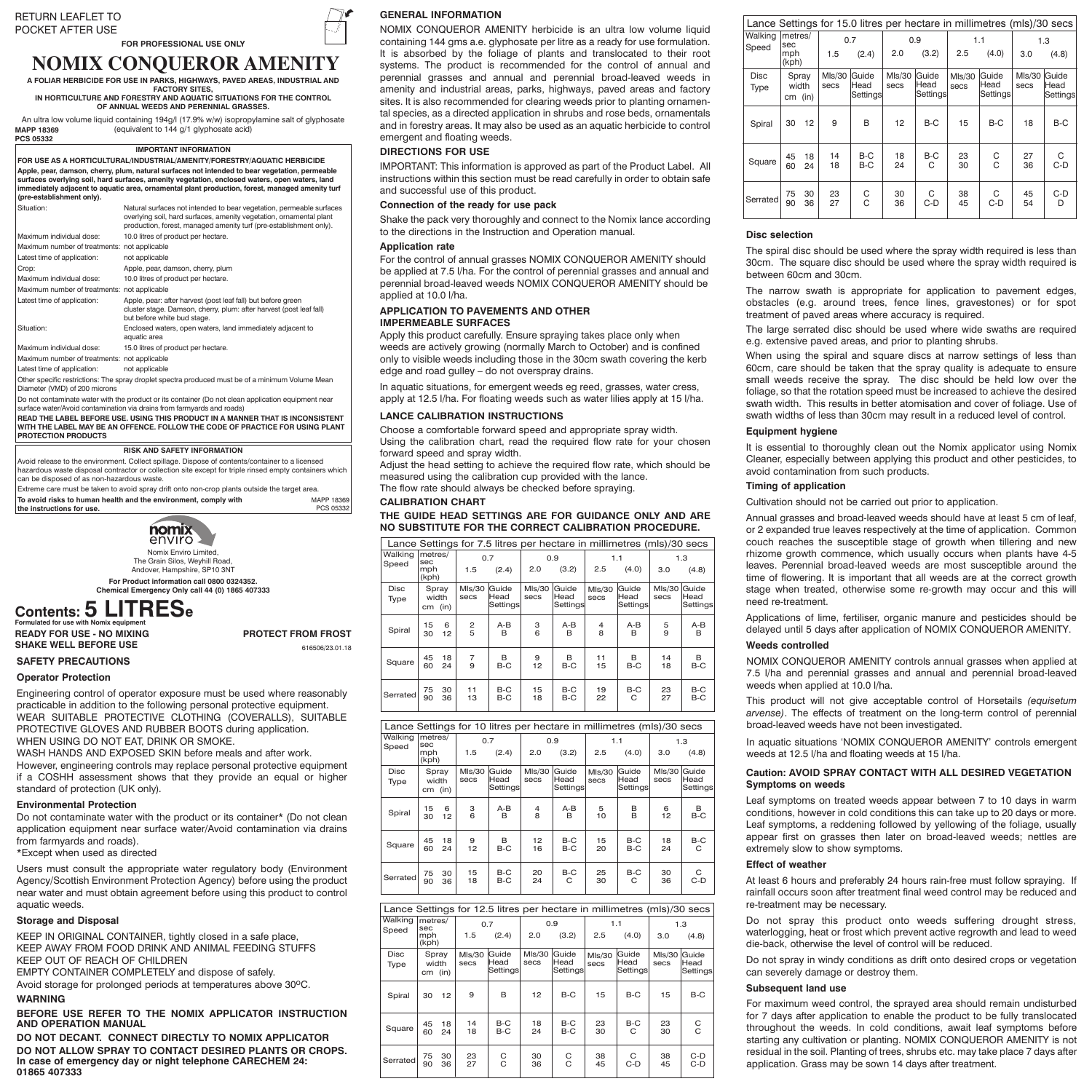#### RETURN LEAFLET TU<br>2004<del>er</del> 1555 1105 POCKET AFTER USE POCKET AFTER USE RETURN LEAFLET TO

# **FOR PROFESSIONAL USE ONLY**

## **NOMIX CONQUEROR AMENITY A FOLIAR HERBICIDE FOR USE IN PARKS, HIGHWAYS, PAVED AREAS, INDUSTRIAL AND**

**FACTORY SITES,** IN HORTICULTURE AND FORESTRY AND AQUATIC SITUATIONS FOR THE CONTROL **OF ANNUAL WEEDS AND PERENNIAL GRASSES.** 

An ultra low volume liquid containing 194g/l (17.9% w/w) isopropylamine salt of glyphosate glyphosate (equivalent to 144 g/l glyphosate acid) (equivalent to 144 g/1 glyphosate acid) MAPP 16039 **PCS 05332 MAPP 18369**

I**MPORTANT INFORMATION IMPORTANT INFORMATION FOR USE AS A HORTICULTURAL /INDUSTRIAL/AMENITY/FORESTRY/AQUATIC FOR USE AS A HORTICULTURAL/INDUSTRIAL/AMENITY/FORESTRY/AQUATIC HERBICIDE** To the bear, danson, cherry, plum, natural surfaces not intended to bear vegetation, permeable<br>Apple, pear, damson, cherry, plum, natural surfaces not intended to bear vegetation, permeable<br>surfaces overlying soil, hard su **waters, open waters, land immediately adjacent to aquatic area, ornamental plant immediately adjacent to aquatic area, ornamental plant production, forest, managed amenity turf production, forest, managed amenity turf (pre-establishment only). (pre-establishment only).**

| Situation:                                                                                                                                                                    | Natural surfaces not intended to bear vegetation, permeable surfaces<br>overlying soil, hard surfaces, amenity vegetation, ornamental plant<br>production, forest, managed amenity turf (pre-establishment only). |  |  |  |  |
|-------------------------------------------------------------------------------------------------------------------------------------------------------------------------------|-------------------------------------------------------------------------------------------------------------------------------------------------------------------------------------------------------------------|--|--|--|--|
| Maximum individual dose:                                                                                                                                                      | 10.0 litres of product per hectare.                                                                                                                                                                               |  |  |  |  |
| Maximum number of treatments: not applicable                                                                                                                                  |                                                                                                                                                                                                                   |  |  |  |  |
| Latest time of application:                                                                                                                                                   | not applicable                                                                                                                                                                                                    |  |  |  |  |
| Crop:                                                                                                                                                                         | Apple, pear, damson, cherry, plum                                                                                                                                                                                 |  |  |  |  |
| Maximum individual dose:                                                                                                                                                      | 10.0 litres of product per hectare.                                                                                                                                                                               |  |  |  |  |
| Maximum number of treatments: not applicable                                                                                                                                  |                                                                                                                                                                                                                   |  |  |  |  |
| Latest time of application:                                                                                                                                                   | Apple, pear: after harvest (post leaf fall) but before green<br>cluster stage. Damson, cherry, plum: after harvest (post leaf fall)<br>but before white bud stage.                                                |  |  |  |  |
| Situation:                                                                                                                                                                    | Enclosed waters, open waters, land immediately adjacent to<br>aquatic area                                                                                                                                        |  |  |  |  |
| Maximum individual dose:                                                                                                                                                      | 15.0 litres of product per hectare.                                                                                                                                                                               |  |  |  |  |
| Maximum number of treatments: not applicable                                                                                                                                  |                                                                                                                                                                                                                   |  |  |  |  |
| Latest time of application:                                                                                                                                                   | not applicable                                                                                                                                                                                                    |  |  |  |  |
| Diameter (VMD) of 200 microns                                                                                                                                                 | Other specific restrictions: The spray droplet spectra produced must be of a minimum Volume Mean                                                                                                                  |  |  |  |  |
| Do not contaminate water with the product or its container (Do not clean application equipment near<br>eurrace water/Avoid contamination via draine from farmyarde and roade) |                                                                                                                                                                                                                   |  |  |  |  |

 $\frac{1}{2}$  and  $\frac{1}{2}$  world containmation via urality from fail **READ THE LABEL DAY BE AN OFFENCE. FOLLOW THE CODE OF PRACTICE FOR USING PLA**<br>INTERFORMAN BE AN OFFENCE. FOLLOW THE CODE OF PRACTICE FOR USING PLA<br>POTECTION BEODUCTS **PROTECTION PRODUCTS** surface water/Avoid contamination via drains from farmyards and roads) **READ THE LABEL BEFORE USE. USING THIS PRODUCT IN A MANNER THAT IS INCONSISTENT WITH THE LABEL MAY BE AN OFFENCE. FOLLOW THE CODE OF PRACTICE FOR USING PLANT** 

### **RISK AND SAFETY INFORMATION**

Avoid release to the environment. Collect spillage. Dispose of contents/container to a Avoid release to the environment. Collect spillage. Dispose of contents/container to a licensed hazardous waste disposal contractor or collection site except for triple rinsed empty containers which can be disposed of as non-hazardous waste.

Extreme care must be taken to avoid spray drift onto non-crop plants outside the target area. **To avoid risks to human health and the environment, comply with**  $MA$ **the instructions for use.** MAPP 18369 PCS 05332



**For Product information call 01264 388056. For Product information call 0800 0324352. Chemical Emergency Only call 01865 407333. Chemical Emergency Only call 44 (0) 1865 407333**

# **Contents: 5 LITRESe Contents: 5 LITRESe**

**Formulated for use with Nomix equipment READY FOR USE - NO MIXING READT FOR USE - NO MIXING PROTECT FROM FROM A SHAKE WELL BEFORE USE Formulated for use with Nomix equipment**

**PROTECT FROM FROST** 616506/23.01.18

## **SAFETY PRECAUTIONS Operator Protection**

Engineering control of operator exposure must be used where reasonably practicable in addition to the following personal protective equipment. WEAR SUITABLE PROTECTIVE CLOTHING (COVERALLS), SUITABLE PROTECTIVE GLOVES AND RUBBER BOOTS during application. WHEN USING DO NOT EAT, DRINK OR SMOKE.

WASH HANDS AND EXPOSED SKIN before meals and after work. However, engineering controls may replace personal protective equipment if a COSHH assessment shows that they provide an equal or higher standard of protection (UK only).

### **Environmental Protection**

Do not contaminate water with the product or its container\* (Do not clean application equipment near surface water/Avoid contamination via drains from farmyards and roads).

\*Except when used as directed

Users must consult the appropriate water regulatory body (Environment Agency/Scottish Environment Protection Agency) before using the product near water and must obtain agreement before using this product to control aquatic weeds.

## **Storage and Disposal**

KEEP IN ORIGINAL CONTAINER, tightly closed in a safe place, KEEP AWAY FROM FOOD DRINK AND ANIMAL FEEDING STUFFS KEEP OUT OF REACH OF CHILDREN

EMPTY CONTAINER COMPLETELY and dispose of safely.

Avoid storage for prolonged periods at temperatures above 30°C. **WARNING**

**BEFORE USE REFER TO THE NOMIX APPLICATOR INSTRUCTION AND OPERATION MANUAL**

**DO NOT DECANT. CONNECT DIRECTLY TO NOMIX APPLICATOR DO NOT ALLOW SPRAY TO CONTACT DESIRED PLANTS OR CROPS. In case of emergency day or night telephone CARECHEM 24: 01865 407333**

## **GENERAL INFORMATION**

NOMIX CONQUEROR AMENITY herbicide is an ultra low volume liquid containing 144 gms a.e. glyphosate per litre as a ready for use formulation. It is absorbed by the foliage of plants and translocated to their root systems. The product is recommended for the control of annual and perennial grasses and annual and perennial broad-leaved weeds in amenity and industrial areas, parks, highways, paved areas and factory sites. It is also recommended for clearing weeds prior to planting ornamental species, as a directed application in shrubs and rose beds, ornamentals and in forestry areas. It may also be used as an aquatic herbicide to control emergent and floating weeds.

### **DIRECTIONS FOR USE**

IMPORTANT: This information is approved as part of the Product Label. All instructions within this section must be read carefully in order to obtain safe and successful use of this product.

### **Connection of the ready for use pack**

Shake the pack very thoroughly and connect to the Nomix lance according to the directions in the Instruction and Operation manual.

### **Application rate**

For the control of annual grasses NOMIX CONQUEROR AMENITY should be applied at 7.5 l/ha. For the control of perennial grasses and annual and perennial broad-leaved weeds NOMIX CONQUEROR AMENITY should be applied at  $10.0$  l/ha.

## **APPLICATION TO PAVEMENTS AND OTHER IMPERMEABLE SURFACES**

Apply this product carefully. Ensure spraying takes place only when weeds are actively growing (normally March to October) and is confined only to visible weeds including those in the 30cm swath covering the kerb edge and road gulley – do not overspray drains.

In aquatic situations, for emergent weeds eg reed, grasses, water cress, apply at 12.5 l/ha. For floating weeds such as water lilies apply at 15 l/ha.

## **LANCE CALIBRATION INSTRUCTIONS**

Choose a comfortable forward speed and appropriate spray width. Using the calibration chart, read the required flow rate for your chosen forward speed and spray width.

Adjust the head setting to achieve the required flow rate, which should be measured using the calibration cup provided with the lance.

The flow rate should always be checked before spraying.

## **CALIBRATION CHART**

**THE GUIDE HEAD SETTINGS ARE FOR GUIDANCE ONLY AND ARE NO SUBSTITUTE FOR THE CORRECT CALIBRATION PROCEDURE.**

| Lance Settings for 7.5 litres per hectare in millimetres (mls)/30 secs |              |                |                           |                |                           |                |                           |                     |                           |            |  |
|------------------------------------------------------------------------|--------------|----------------|---------------------------|----------------|---------------------------|----------------|---------------------------|---------------------|---------------------------|------------|--|
| Walking<br>metres/<br>sec<br>Speed                                     |              |                |                           | 0.7            |                           | 0.9            |                           | 1.1                 | 1.3                       |            |  |
|                                                                        | mph<br>(kph) |                | 1.5                       | (2.4)          | 2.0                       | (3.2)          | 2.5                       | (4.0)               | 3.0                       | (4.8)      |  |
| <b>Disc</b><br>Spray<br>width<br>Type<br>$cm$ (in)                     |              | Mls/30<br>secs | Guide<br>Head<br>Settings | Mls/30<br>secs | Guide<br>Head<br>Settings | Mls/30<br>secs | Guide<br>Head<br>Settings | Mls/30<br>secs      | Guide<br>Head<br>Settings |            |  |
| Spiral                                                                 | 15<br>30     | 6<br>12        | $\frac{2}{5}$             | A-B<br>в       | 3<br>6                    | A-B<br>R       | 4<br>8                    | A-B<br><sub>R</sub> | 5<br>9                    | A-B<br>в   |  |
| Square                                                                 | 45<br>60     | 18<br>24       | 7<br>9                    | В<br>$B-C$     | 9<br>12                   | в<br>$B-C$     | 11<br>15                  | в<br>$B-C$          | 14<br>18                  | в<br>B-C   |  |
| Serrated                                                               | 75<br>90     | 30<br>36       | 11<br>13                  | B-C<br>$B-C$   | 15<br>18                  | $B-C$<br>$B-C$ | 19<br>22                  | B-C<br>C            | 23<br>27                  | B-C<br>B-C |  |

|                         | Lance Settings for 10 litres per hectare in millimetres (mls)/30 secs |          |                |                            |                |                           |                |                            |                |                           |  |
|-------------------------|-----------------------------------------------------------------------|----------|----------------|----------------------------|----------------|---------------------------|----------------|----------------------------|----------------|---------------------------|--|
| Walking<br>sec<br>Speed |                                                                       | metres/  | 0.7<br>1.5     | (2.4)                      | 2.0            | 0.9<br>(3.2)              | 2.5            | 1.1<br>(4.0)               | 3.0            | 1.3<br>(4.8)              |  |
|                         | mph<br>(kph)                                                          |          |                |                            |                |                           |                |                            |                |                           |  |
| <b>Disc</b><br>Type     | Spray<br>width<br>$cm$ (in)                                           |          | Mls/30<br>secs | lGuide<br>Head<br>Settings | Mls/30<br>secs | Guide<br>Head<br>Settings | Mls/30<br>secs | Guide<br>Head<br>Settinasl | Mls/30<br>secs | Guide<br>Head<br>Settings |  |
| Spiral                  | 15<br>30                                                              | 6<br>12  | 3<br>6         | A-B<br>в                   | 4<br>8         | A-B<br>R                  | 5<br>10        | в<br>B                     | 6<br>12        | в<br>$B-C$                |  |
| Square                  | 45<br>60                                                              | 18<br>24 | 9<br>12        | в<br>B-C                   | 12<br>16       | B-C<br>B-C                | 15<br>20       | B-C<br>B-C                 | 18<br>24       | B-C<br>С                  |  |
| Serrated                | 75<br>90                                                              | 30<br>36 | 15<br>18       | B-C<br>B-C                 | 20<br>24       | B-C<br>C                  | 25<br>30       | B-C<br>C                   | 30<br>36       | С<br>$C-D$                |  |

| Lance Settings for 12.5 litres per hectare in millimetres (mls)/30 secs |                                         |          |                |                           |                       |                           |                |                           |                |                                   |  |
|-------------------------------------------------------------------------|-----------------------------------------|----------|----------------|---------------------------|-----------------------|---------------------------|----------------|---------------------------|----------------|-----------------------------------|--|
| Walking                                                                 | metres/<br>sec<br>Speed<br>mph<br>(kph) |          | 0.7            |                           | 0.9                   |                           |                | 1.1                       | 1.3            |                                   |  |
|                                                                         |                                         |          | 1.5            | (2.4)                     |                       | (3.2)                     | 2.5            | (4.0)                     | 3.0            | (4.8)                             |  |
| <b>Disc</b><br>Type                                                     | Spray<br>width<br>$cm$ (in)             |          | Mls/30<br>secs | Guide<br>Head<br>Settings | <b>MIs/30</b><br>secs | Guide<br>Head<br>Settings | Mls/30<br>secs | Guide<br>Head<br>Settings | Mls/30<br>secs | lGuide<br><b>Head</b><br>Settings |  |
| Spiral                                                                  | 30                                      | 12       | 9              | B                         | 12                    | $B-C$                     | 15             | B-C                       | 15             | $B-C$                             |  |
| Square                                                                  | 45<br>60                                | 18<br>24 | 14<br>18       | B-C<br>$B-C$              | 18<br>24              | B-C<br>$B-C$              | 23<br>30       | $B-C$<br>C                | 23<br>30       | $_{\rm C}^{\rm C}$                |  |
| Serrated                                                                | 75<br>90                                | 30<br>36 | 23<br>27       | С<br>C                    | 30<br>36              | С<br>C                    | 38<br>45       | С<br>C-D                  | 38<br>45       | $C-D$<br>C-D                      |  |

|                            | Lance Settings for 15.0 litres per hectare in millimetres (mls)/30 secs |          |                       |                           |                |                           |                |                                   |                       |                            |
|----------------------------|-------------------------------------------------------------------------|----------|-----------------------|---------------------------|----------------|---------------------------|----------------|-----------------------------------|-----------------------|----------------------------|
| Walking                    | metres/<br>sec<br>mph<br>(kph)                                          |          | 0.7                   |                           | 0.9            |                           | 1.1            |                                   | 1.3                   |                            |
| Speed                      |                                                                         |          | 1.5                   | (2.4)                     | 2.0            | (3.2)                     | 2.5            | (4.0)                             | 3.0                   | (4.8)                      |
| <b>Disc</b><br><b>Type</b> | Spray<br>width<br>(in)<br>cm                                            |          | <b>MIs/30</b><br>secs | Guide<br>Head<br>Settings | MIs/30<br>secs | Guide<br>Head<br>Settings | M/s/30<br>secs | <b>Guide</b><br>Head<br>Settingsl | <b>MIs/30</b><br>secs | Guide<br>lHead<br>Settings |
| Spiral                     | 30                                                                      | 12       | 9                     | B                         | 12             | B-C                       | 15             | B-C                               | 18                    | $B-C$                      |
| Square                     | 45<br>60                                                                | 18<br>24 | 14<br>18              | B-C<br>$B-C$              | 18<br>24       | B-C<br>C                  | 23<br>30       | $\rm_{C}^C$                       | 27<br>36              | С<br>$C-D$                 |
| Serrated                   | 75<br>90                                                                | 30<br>36 | 23<br>27              | C<br>C                    | 30<br>36       | С<br>$C-D$                | 38<br>45       | С<br>$C-D$                        | 45<br>54              | $C-D$<br>D                 |

### **Disc selection**

The spiral disc should be used where the spray width required is less than 30cm. The square disc should be used where the spray width required is between 60cm and 30cm.

The narrow swath is appropriate for application to pavement edges, obstacles (e.g. around trees, fence lines, gravestones) or for spot treatment of paved areas where accuracy is required.

The large serrated disc should be used where wide swaths are required e.g. extensive paved areas, and prior to planting shrubs.

When using the spiral and square discs at narrow settings of less than 60cm, care should be taken that the spray quality is adequate to ensure small weeds receive the spray. The disc should be held low over the foliage, so that the rotation speed must be increased to achieve the desired swath width. This results in better atomisation and cover of foliage. Use of swath widths of less than 30cm may result in a reduced level of control.

#### **Equipment hygiene**

It is essential to thoroughly clean out the Nomix applicator using Nomix Cleaner, especially between applying this product and other pesticides, to avoid contamination from such products.

#### **Timing of application**

Cultivation should not be carried out prior to application.

Annual grasses and broad-leaved weeds should have at least 5 cm of leaf, or 2 expanded true leaves respectively at the time of application. Common couch reaches the susceptible stage of growth when tillering and new rhizome growth commence, which usually occurs when plants have 4-5 leaves. Perennial broad-leaved weeds are most susceptible around the time of flowering. It is important that all weeds are at the correct growth stage when treated, otherwise some re-growth may occur and this will need re-treatment.

Applications of lime, fertiliser, organic manure and pesticides should be delayed until 5 days after application of NOMIX CONQUEROR AMENITY.

### **Weeds controlled**

NOMIX CONQUEROR AMENITY controls annual grasses when applied at 7.5 l/ha and perennial grasses and annual and perennial broad-leaved weeds when applied at 10.0 l/ha.

This product will not give acceptable control of Horsetails *(equisetum arvense)*. The effects of treatment on the long-term control of perennial broad-leaved weeds have not been investigated.

In aquatic situations 'NOMIX CONQUEROR AMENITY' controls emergent weeds at 12.5 l/ha and floating weeds at 15 l/ha.

## **Caution: AVOID SPRAY CONTACT WITH ALL DESIRED VEGETATION Symptoms on weeds**

Leaf symptoms on treated weeds appear between 7 to 10 days in warm conditions, however in cold conditions this can take up to 20 days or more. Leaf symptoms, a reddening followed by yellowing of the foliage, usually appear first on grasses then later on broad-leaved weeds; nettles are extremely slow to show symptoms.

### **Effect of weather**

At least 6 hours and preferably 24 hours rain-free must follow spraying. If rainfall occurs soon after treatment final weed control may be reduced and re-treatment may be necessary.

Do not spray this product onto weeds suffering drought stress, waterlogging, heat or frost which prevent active regrowth and lead to weed die-back, otherwise the level of control will be reduced.

Do not spray in windy conditions as drift onto desired crops or vegetation can severely damage or destroy them.

### **Subsequent land use**

For maximum weed control, the sprayed area should remain undisturbed for 7 days after application to enable the product to be fully translocated throughout the weeds. In cold conditions, await leaf symptoms before starting any cultivation or planting. NOMIX CONQUEROR AMENITY is not residual in the soil. Planting of trees, shrubs etc. may take place 7 days after application. Grass may be sown 14 days after treatment.